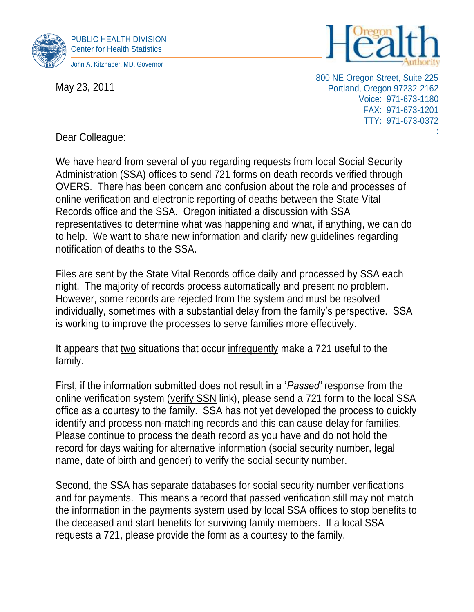

May 23, 2011



800 NE Oregon Street, Suite 225 Portland, Oregon 97232-2162 Voice: 971-673-1180 FAX: 971-673-1201 TTY: 971-673-0372

:

Dear Colleague:

We have heard from several of you regarding requests from local Social Security Administration (SSA) offices to send 721 forms on death records verified through OVERS. There has been concern and confusion about the role and processes of online verification and electronic reporting of deaths between the State Vital Records office and the SSA. Oregon initiated a discussion with SSA representatives to determine what was happening and what, if anything, we can do to help. We want to share new information and clarify new guidelines regarding notification of deaths to the SSA.

Files are sent by the State Vital Records office daily and processed by SSA each night. The majority of records process automatically and present no problem. However, some records are rejected from the system and must be resolved individually, sometimes with a substantial delay from the family's perspective. SSA is working to improve the processes to serve families more effectively.

It appears that two situations that occur infrequently make a 721 useful to the family.

First, if the information submitted does not result in a '*Passed'* response from the online verification system (verify SSN link), please send a 721 form to the local SSA office as a courtesy to the family. SSA has not yet developed the process to quickly identify and process non-matching records and this can cause delay for families. Please continue to process the death record as you have and do not hold the record for days waiting for alternative information (social security number, legal name, date of birth and gender) to verify the social security number.

Second, the SSA has separate databases for social security number verifications and for payments. This means a record that passed verification still may not match the information in the payments system used by local SSA offices to stop benefits to the deceased and start benefits for surviving family members. If a local SSA requests a 721, please provide the form as a courtesy to the family.